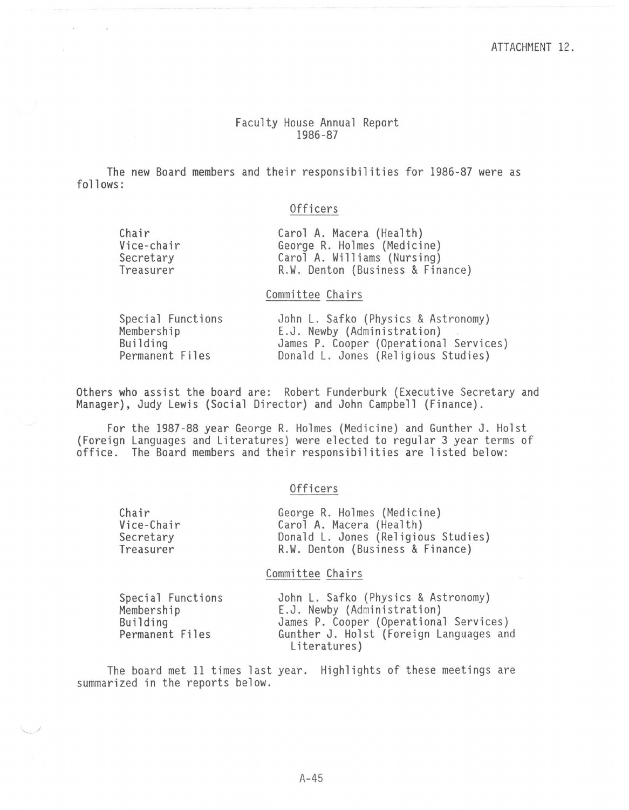## Faculty House Annual Report 1986-87

The new Board members and their responsibilities for 1986-87 were as follows:

# Officers

| Chair      | Carol A. Macera (Health)         |
|------------|----------------------------------|
| Vice-chair | George R. Holmes (Medicine)      |
| Secretary  | Carol A. Williams (Nursing)      |
| Treasurer  | R.W. Denton (Business & Finance) |

### Committee Chairs

| Special Functions | John L. Safko (Physics & Astronomy)    |
|-------------------|----------------------------------------|
| Membership        | E.J. Newby (Administration)            |
| Building          | James P. Cooper (Operational Services) |
| Permanent Files   | Donald L. Jones (Religious Studies)    |

Others who assist the board are: Robert Funderburk (Executive Secretary and Manager), Judy Lewis (Social Director) and John Campbell (Finance).

For the 1987-88 year George R. Holmes (Medicine) and Gunther J. Holst (Foreign Languages and Literatures) were elected to regular 3 year terms of office. The Board members and their responsibilities are listed below:

#### Officers

| Chair      | George R. Holmes (Medicine)         |
|------------|-------------------------------------|
| Vice-Chair | Carol A. Macera (Health)            |
| Secretary  | Donald L. Jones (Religious Studies) |
| Treasurer  | R.W. Denton (Business & Finance)    |
|            |                                     |

#### Committee Chairs

| Special Functions | John L. Safko (Physics & Astronomy)     |
|-------------------|-----------------------------------------|
| Membership        | E.J. Newby (Administration)             |
| Building          | James P. Cooper (Operational Services)  |
| Permanent Files   | Gunther J. Holst (Foreign Languages and |
|                   | Literatures)                            |

The board met 11 times last year. Highlights of these meetings are summarized in the reports below.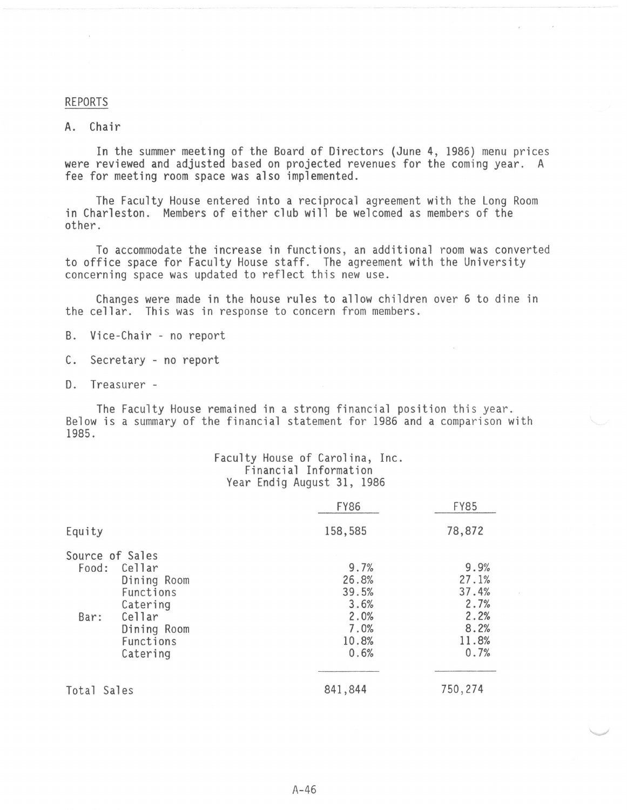#### REPORTS

## A. Chair

In the summer meeting of the Board of Directors (June 4, 1986) menu prices were reviewed and adjusted based on projected revenues for the coming year. A fee for meeting room space was also implemented.

The Faculty House entered into a reciprocal agreement with the Long Room in Charleston. Members of either club will be welcomed as members of the other.

To accommodate the increase in functions, an additional room was converted to office space for Faculty House staff. The agreement with the University concerning space was updated to reflect this new use.

Changes were made in the house rules to allow children over 6 to dine in the cellar. This was in response to concern from members.

- B. Vice-Chair no report
- C. Secretary no report
- D. Treasurer -

The Faculty House remained in a strong financial position this year. Below is a summary of the financial statement for 1986 and a comparison with 1985.

### Faculty House of Carolina, Inc. Financial Information Year Endig August 31, 1986

|             |                 | <b>FY86</b> | <b>FY85</b> |
|-------------|-----------------|-------------|-------------|
| Equity      |                 | 158,585     | 78,872      |
|             | Source of Sales |             |             |
| Food:       | Cellar          | 9.7%        | 9.9%        |
|             | Dining Room     | 26.8%       | 27.1%       |
|             | Functions       | 39.5%       | 37.4%       |
|             | Catering        | 3.6%        | 2.7%        |
| Bar:        | Cellar          | 2.0%        | 2.2%        |
|             | Dining Room     | 7.0%        | 8.2%        |
|             | Functions       | 10.8%       | 11.8%       |
|             | Catering        | 0.6%        | 0.7%        |
|             |                 |             |             |
| Total Sales |                 | 841,844     | 750,274     |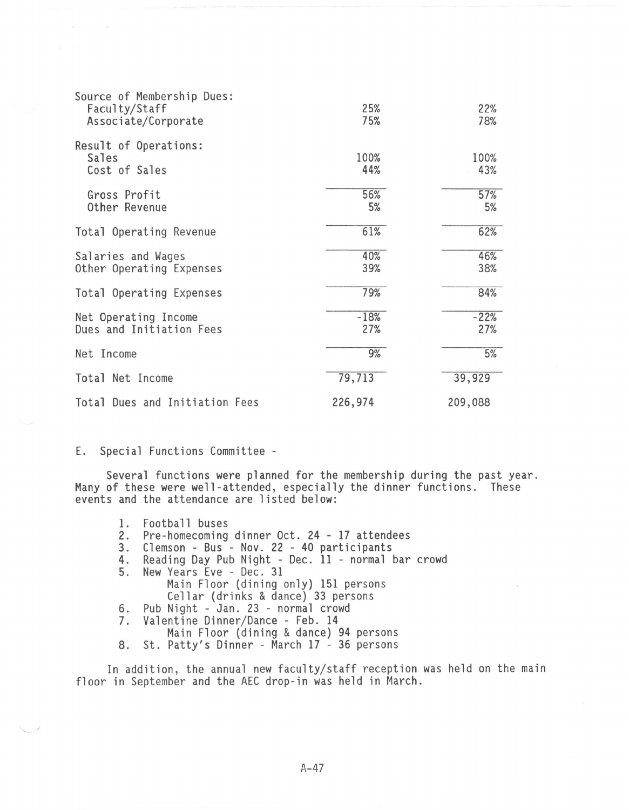| Source of Membership Dues:<br>Faculty/Staff<br>Associate/Corporate | 25%<br>75%    | 22%<br>78%    |
|--------------------------------------------------------------------|---------------|---------------|
| Result of Operations:<br>Sales<br>Cost of Sales                    | 100%<br>44%   | 100%<br>43%   |
| Gross Profit<br>Other Revenue                                      | 56%<br>5%     | 57%<br>5%     |
| Total Operating Revenue                                            | 61%           | 62%           |
| Salaries and Wages<br>Other Operating Expenses                     | 40%<br>39%    | 46%<br>38%    |
| Total Operating Expenses                                           | 79%           | 84%           |
| Net Operating Income<br>Dues and Initiation Fees                   | $-18%$<br>27% | $-22%$<br>27% |
| Net Income                                                         | 9%            | 5%            |
| Total Net Income                                                   | 79,713        | 39,929        |
| Total Dues and Initiation Fees                                     | 226,974       | 209,088       |

E. Special Functions Committee -

Several functions were planned for the membership during the past year. Many of these were well-attended, especially the dinner functions. These events and the attendance are listed below:

- 1. Football buses<br>2. Pre-homecoming
- 2. Pre-homecoming dinner Oct. 24 17 attendees
- 
- 4. Reading Day Pub Night Dec. 11 normal bar crowd
- 5. New Years Eve Dec. 31<br>Main Floor (dining only) 151 persons Cellar (drinks & dance) 33 persons 6. Pub Night - Jan. 23 - normal crowd
- 7. Valentine Dinner/Dance Feb. 14
- Main Floor (dining & dance) 94 persons
- 8. St. Patty's Dinner March 17 36 persons

In addition, the annual new faculty/staff reception was held on the main floor in September and the AEC drop-in was held in March.